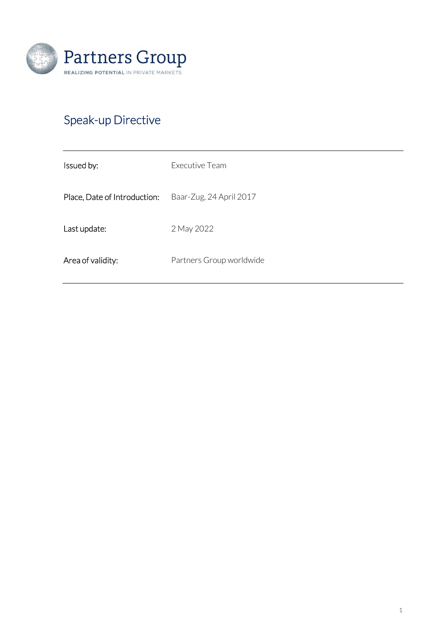

# Speak-up Directive

| Issued by:                   | Executive Team           |
|------------------------------|--------------------------|
| Place, Date of Introduction: | Baar-Zug, 24 April 2017  |
| Last update:                 | 2 May 2022               |
| Area of validity:            | Partners Group worldwide |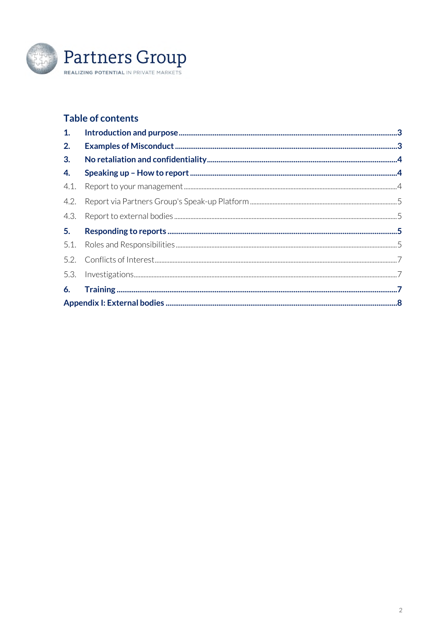

## **Table of contents**

| 1.   |  |  |  |  |
|------|--|--|--|--|
| 2.   |  |  |  |  |
| 3.   |  |  |  |  |
| 4.   |  |  |  |  |
| 4.1. |  |  |  |  |
| 4.2. |  |  |  |  |
| 4.3. |  |  |  |  |
| 5.   |  |  |  |  |
|      |  |  |  |  |
|      |  |  |  |  |
|      |  |  |  |  |
| 6.   |  |  |  |  |
|      |  |  |  |  |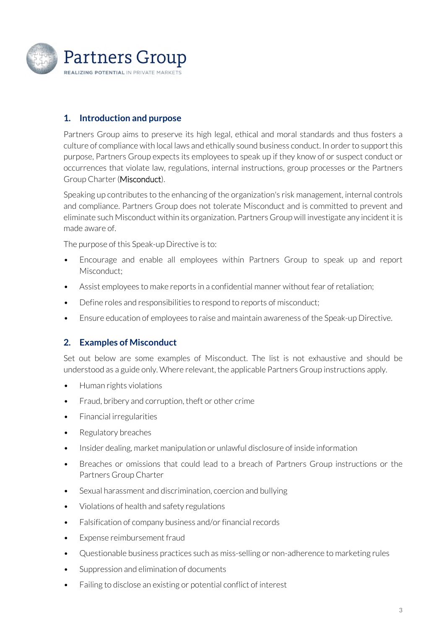

## **1. Introduction and purpose**

Partners Group aims to preserve its high legal, ethical and moral standards and thus fosters a culture of compliance with local laws and ethically sound business conduct. In order to support this purpose, Partners Group expects its employees to speak up if they know of or suspect conduct or occurrences that violate law, regulations, internal instructions, group processes or the Partners Group Charter (Misconduct).

Speaking up contributes to the enhancing of the organization's risk management, internal controls and compliance. Partners Group does not tolerate Misconduct and is committed to prevent and eliminate such Misconduct within its organization. Partners Group will investigate any incident it is made aware of.

The purpose of this Speak-up Directive is to:

- Encourage and enable all employees within Partners Group to speak up and report Misconduct;
- Assist employees to make reports in a confidential manner without fear of retaliation;
- Define roles and responsibilities to respond to reports of misconduct;
- Ensure education of employees to raise and maintain awareness of the Speak-up Directive.

## **2. Examples of Misconduct**

Set out below are some examples of Misconduct. The list is not exhaustive and should be understood as a guide only. Where relevant, the applicable Partners Group instructions apply.

- Human rights violations
- Fraud, bribery and corruption, theft or other crime
- Financial irregularities
- Regulatory breaches
- Insider dealing, market manipulation or unlawful disclosure of inside information
- Breaches or omissions that could lead to a breach of Partners Group instructions or the Partners Group Charter
- Sexual harassment and discrimination, coercion and bullying
- Violations of health and safety regulations
- Falsification of company business and/or financial records
- Expense reimbursement fraud
- Questionable business practices such as miss-selling or non-adherence to marketing rules
- Suppression and elimination of documents
- Failing to disclose an existing or potential conflict of interest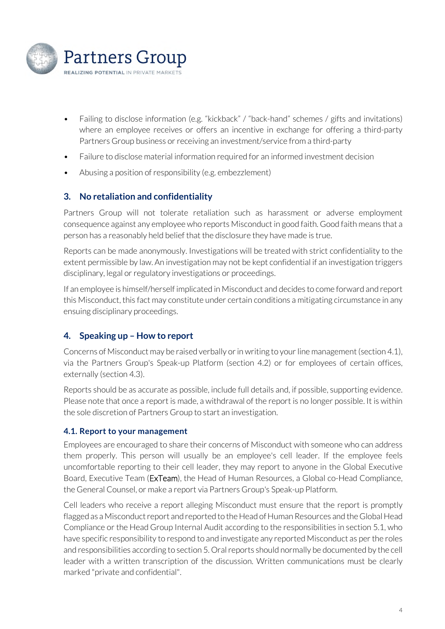

- Failing to disclose information (e.g. "kickback" / "back-hand" schemes / gifts and invitations) where an employee receives or offers an incentive in exchange for offering a third-party Partners Group business or receiving an investment/service from a third-party
- Failure to disclose material information required for an informed investment decision
- Abusing a position of responsibility (e.g. embezzlement)

#### **3. No retaliation and confidentiality**

Partners Group will not tolerate retaliation such as harassment or adverse employment consequence against any employee who reports Misconduct in good faith. Good faith means that a person has a reasonably held belief that the disclosure they have made is true.

Reports can be made anonymously. Investigations will be treated with strict confidentiality to the extent permissible by law. An investigation may not be kept confidential if an investigation triggers disciplinary, legal or regulatory investigations or proceedings.

If an employee is himself/herself implicated in Misconduct and decides to come forward and report this Misconduct, this fact may constitute under certain conditions a mitigating circumstance in any ensuing disciplinary proceedings.

## **4. Speaking up – How to report**

Concerns of Misconduct may be raised verbally or in writing to your line management (section 4.1), via the Partners Group's Speak-up Platform (section 4.2) or for employees of certain offices, externally (section 4.3).

Reports should be as accurate as possible, include full details and, if possible, supporting evidence. Please note that once a report is made, a withdrawal of the report is no longer possible. It is within the sole discretion of Partners Group to start an investigation.

#### **4.1. Report to your management**

Employees are encouraged to share their concerns of Misconduct with someone who can address them properly. This person will usually be an employee's cell leader. If the employee feels uncomfortable reporting to their cell leader, they may report to anyone in the Global Executive Board, Executive Team (ExTeam), the Head of Human Resources, a Global co-Head Compliance, the General Counsel, or make a report via Partners Group's Speak-up Platform.

Cell leaders who receive a report alleging Misconduct must ensure that the report is promptly flagged as a Misconduct report and reported to the Head of Human Resources and the Global Head Compliance or the Head Group Internal Audit according to the responsibilities in section 5.1, who have specific responsibility to respond to and investigate any reported Misconduct as per the roles and responsibilities according to section 5. Oral reports should normally be documented by the cell leader with a written transcription of the discussion. Written communications must be clearly marked "private and confidential".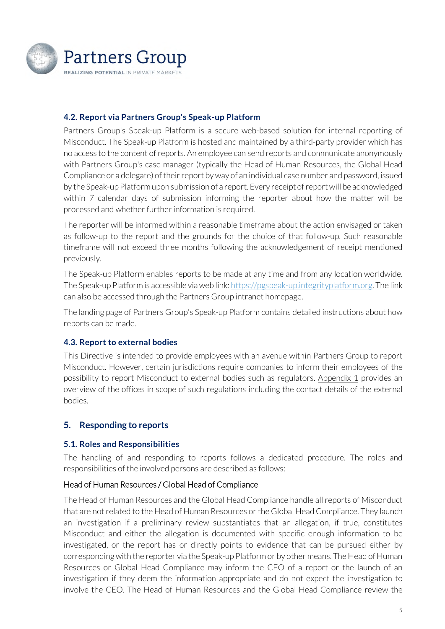

#### **4.2. Report via Partners Group's Speak-up Platform**

Partners Group's Speak-up Platform is a secure web-based solution for internal reporting of Misconduct. The Speak-up Platform is hosted and maintained by a third-party provider which has no access to the content of reports. An employee can send reports and communicate anonymously with Partners Group's case manager (typically the Head of Human Resources, the Global Head Compliance or a delegate) of their report by way of an individual case number and password, issued by the Speak-up Platform upon submission of a report. Every receipt of report will be acknowledged within 7 calendar days of submission informing the reporter about how the matter will be processed and whether further information is required.

The reporter will be informed within a reasonable timeframe about the action envisaged or taken as follow-up to the report and the grounds for the choice of that follow-up. Such reasonable timeframe will not exceed three months following the acknowledgement of receipt mentioned previously.

The Speak-up Platform enables reports to be made at any time and from any location worldwide. The Speak-up Platform is accessible via web link: https://pgspeak-up.integrityplatform.org. The link can also be accessed through the Partners Group intranet homepage.

The landing page of Partners Group's Speak-up Platform contains detailed instructions about how reports can be made.

#### **4.3. Report to external bodies**

This Directive is intended to provide employees with an avenue within Partners Group to report Misconduct. However, certain jurisdictions require companies to inform their employees of the possibility to report Misconduct to external bodies such as regulators. Appendix 1 provides an overview of the offices in scope of such regulations including the contact details of the external bodies.

#### **5. Responding to reports**

#### **5.1. Roles and Responsibilities**

The handling of and responding to reports follows a dedicated procedure. The roles and responsibilities of the involved persons are described as follows:

#### Head of Human Resources / Global Head of Compliance

The Head of Human Resources and the Global Head Compliance handle all reports of Misconduct that are not related to the Head of Human Resources or the Global Head Compliance. They launch an investigation if a preliminary review substantiates that an allegation, if true, constitutes Misconduct and either the allegation is documented with specific enough information to be investigated, or the report has or directly points to evidence that can be pursued either by corresponding with the reporter via the Speak-up Platform or by other means. The Head of Human Resources or Global Head Compliance may inform the CEO of a report or the launch of an investigation if they deem the information appropriate and do not expect the investigation to involve the CEO. The Head of Human Resources and the Global Head Compliance review the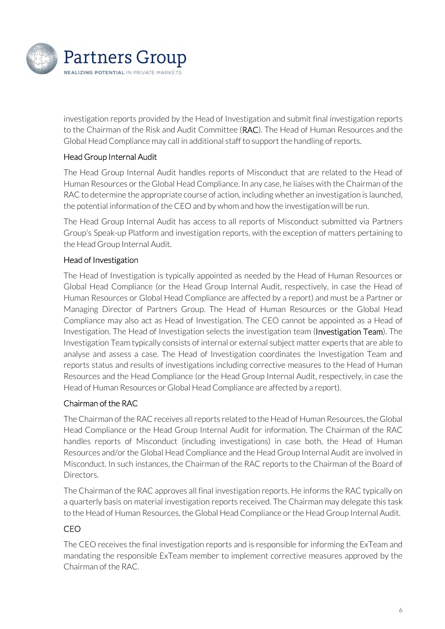

investigation reports provided by the Head of Investigation and submit final investigation reports to the Chairman of the Risk and Audit Committee (**RAC**). The Head of Human Resources and the Global Head Compliance may call in additional staff to support the handling of reports.

## Head Group Internal Audit

The Head Group Internal Audit handles reports of Misconduct that are related to the Head of Human Resources or the Global Head Compliance. In any case, he liaises with the Chairman of the RAC to determine the appropriate course of action, including whether an investigation is launched, the potential information of the CEO and by whom and how the investigation will be run.

The Head Group Internal Audit has access to all reports of Misconduct submitted via Partners Group's Speak-up Platform and investigation reports, with the exception of matters pertaining to the Head Group Internal Audit.

## Head of Investigation

The Head of Investigation is typically appointed as needed by the Head of Human Resources or Global Head Compliance (or the Head Group Internal Audit, respectively, in case the Head of Human Resources or Global Head Compliance are affected by a report) and must be a Partner or Managing Director of Partners Group. The Head of Human Resources or the Global Head Compliance may also act as Head of Investigation. The CEO cannot be appointed as a Head of Investigation. The Head of Investigation selects the investigation team (Investigation Team). The Investigation Team typically consists of internal or external subject matter experts that are able to analyse and assess a case. The Head of Investigation coordinates the Investigation Team and reports status and results of investigations including corrective measures to the Head of Human Resources and the Head Compliance (or the Head Group Internal Audit, respectively, in case the Head of Human Resources or Global Head Compliance are affected by a report).

## Chairman of the RAC

The Chairman of the RAC receives all reports related to the Head of Human Resources, the Global Head Compliance or the Head Group Internal Audit for information. The Chairman of the RAC handles reports of Misconduct (including investigations) in case both, the Head of Human Resources and/or the Global Head Compliance and the Head Group Internal Audit are involved in Misconduct. In such instances, the Chairman of the RAC reports to the Chairman of the Board of Directors.

The Chairman of the RAC approves all final investigation reports. He informs the RAC typically on a quarterly basis on material investigation reports received. The Chairman may delegate this task to the Head of Human Resources, the Global Head Compliance or the Head Group Internal Audit.

## CEO

The CEO receives the final investigation reports and is responsible for informing the ExTeam and mandating the responsible ExTeam member to implement corrective measures approved by the Chairman of the RAC.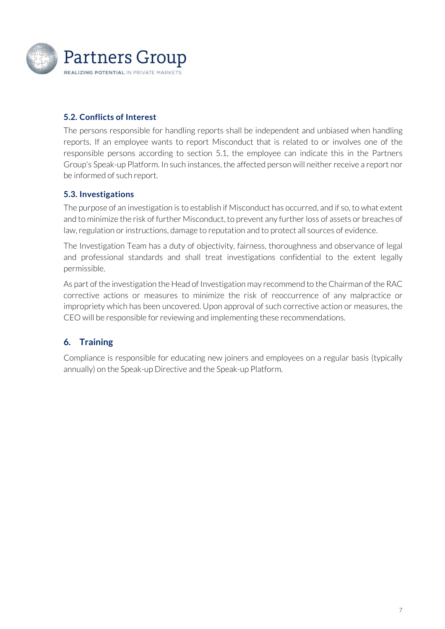

## **5.2. Conflicts of Interest**

The persons responsible for handling reports shall be independent and unbiased when handling reports. If an employee wants to report Misconduct that is related to or involves one of the responsible persons according to section 5.1, the employee can indicate this in the Partners Group's Speak-up Platform. In such instances, the affected person will neither receive a report nor be informed of such report.

## **5.3. Investigations**

The purpose of an investigation is to establish if Misconduct has occurred, and if so, to what extent and to minimize the risk of further Misconduct, to prevent any further loss of assets or breaches of law, regulation or instructions, damage to reputation and to protect all sources of evidence.

The Investigation Team has a duty of objectivity, fairness, thoroughness and observance of legal and professional standards and shall treat investigations confidential to the extent legally permissible.

As part of the investigation the Head of Investigation may recommend to the Chairman of the RAC corrective actions or measures to minimize the risk of reoccurrence of any malpractice or impropriety which has been uncovered. Upon approval of such corrective action or measures, the CEO will be responsible for reviewing and implementing these recommendations.

## **6. Training**

Compliance is responsible for educating new joiners and employees on a regular basis (typically annually) on the Speak-up Directive and the Speak-up Platform.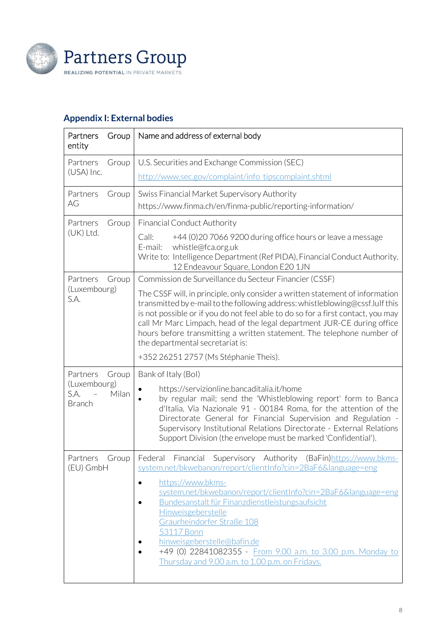

## **Appendix I: External bodies**

| Partners<br>Group<br>entity                                         | Name and address of external body                                                                                                                                                                                                                                                                                                                                                                                                                                                                                                              |
|---------------------------------------------------------------------|------------------------------------------------------------------------------------------------------------------------------------------------------------------------------------------------------------------------------------------------------------------------------------------------------------------------------------------------------------------------------------------------------------------------------------------------------------------------------------------------------------------------------------------------|
| Partners<br>Group                                                   | U.S. Securities and Exchange Commission (SEC)                                                                                                                                                                                                                                                                                                                                                                                                                                                                                                  |
| (USA) Inc.                                                          | http://www.sec.gov/complaint/info_tipscomplaint.shtml                                                                                                                                                                                                                                                                                                                                                                                                                                                                                          |
| Partners<br>Group<br>AG                                             | Swiss Financial Market Supervisory Authority<br>https://www.finma.ch/en/finma-public/reporting-information/                                                                                                                                                                                                                                                                                                                                                                                                                                    |
| Partners<br>Group<br>(UK) Ltd.                                      | <b>Financial Conduct Authority</b><br>Call:<br>+44 (0) 20 7066 9200 during office hours or leave a message<br>whistle@fca.org.uk<br>E-mail:<br>Write to: Intelligence Department (Ref PIDA), Financial Conduct Authority,<br>12 Endeavour Square, London E20 1JN                                                                                                                                                                                                                                                                               |
| Partners<br>Group<br>(Luxembourg)<br>S.A.                           | Commission de Surveillance du Secteur Financier (CSSF)<br>The CSSF will, in principle, only consider a written statement of information<br>transmitted by e-mail to the following address: whistleblowing@cssf.lulf this<br>is not possible or if you do not feel able to do so for a first contact, you may<br>call Mr Marc Limpach, head of the legal department JUR-CE during office<br>hours before transmitting a written statement. The telephone number of<br>the departmental secretariat is:<br>+352 26251 2757 (Ms Stéphanie Theis). |
| Partners<br>Group<br>(Luxembourg)<br>S.A.<br>Milan<br><b>Branch</b> | Bank of Italy (Bol)<br>https://servizionline.bancaditalia.it/home<br>by regular mail; send the 'Whistleblowing report' form to Banca<br>d'Italia, Via Nazionale 91 - 00184 Roma, for the attention of the<br>Directorate General for Financial Supervision and Regulation -<br>Supervisory Institutional Relations Directorate - External Relations<br>Support Division (the envelope must be marked 'Confidential').                                                                                                                          |
| Partners<br>Group<br>(EU) GmbH                                      | Authority<br>Federal<br>Financial<br>Supervisory<br>(BaFin)https://www.bkms-<br>system.net/bkwebanon/report/clientInfo?cin=2BaF6&language=eng<br>https://www.bkms-<br>system.net/bkwebanon/report/clientInfo?cin=2BaF6&language=eng<br>Bundesanstalt für Finanzdienstleistungsaufsicht<br>٠<br>Hinweisgeberstelle<br>Graurheindorfer Straße 108<br>53117 Bonn<br>hinweisgeberstelle@bafin.de<br>+49 (0) 22841082355 - From 9.00 a.m. to 3.00 p.m. Monday to<br>Thursday and 9.00 a.m. to 1.00 p.m. on Fridays.                                 |